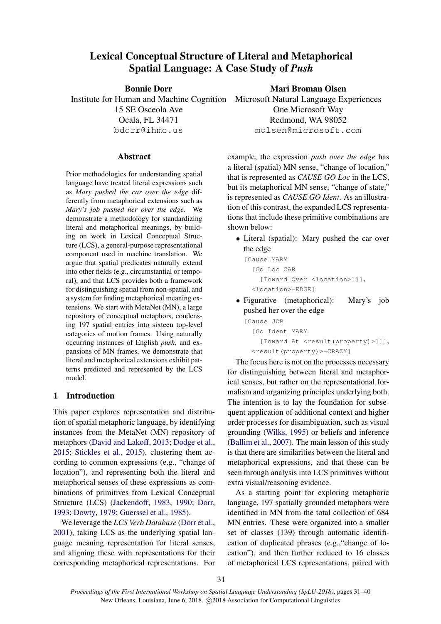# Lexical Conceptual Structure of Literal and Metaphorical Spatial Language: A Case Study of *Push*

Bonnie Dorr 15 SE Osceola Ave Ocala, FL 34471 bdorr@ihmc.us

# Mari Broman Olsen

Institute for Human and Machine Cognition Microsoft Natural Language Experiences One Microsoft Way Redmond, WA 98052 molsen@microsoft.com

### Abstract

Prior methodologies for understanding spatial language have treated literal expressions such as *Mary pushed the car over the edge* differently from metaphorical extensions such as *Mary's job pushed her over the edge*. We demonstrate a methodology for standardizing literal and metaphorical meanings, by building on work in Lexical Conceptual Structure (LCS), a general-purpose representational component used in machine translation. We argue that spatial predicates naturally extend into other fields (e.g., circumstantial or temporal), and that LCS provides both a framework for distinguishing spatial from non-spatial, and a system for finding metaphorical meaning extensions. We start with MetaNet (MN), a large repository of conceptual metaphors, condensing 197 spatial entries into sixteen top-level categories of motion frames. Using naturally occurring instances of English *push*, and expansions of MN frames, we demonstrate that literal and metaphorical extensions exhibit patterns predicted and represented by the LCS model.

# 1 Introduction

This paper explores representation and distribution of spatial metaphoric language, by identifying instances from the MetaNet (MN) repository of metaphors (David and Lakoff, 2013; Dodge et al., 2015; Stickles et al., 2015), clustering them according to common expressions (e.g., "change of location"), and representing both the literal and metaphorical senses of these expressions as combinations of primitives from Lexical Conceptual Structure (LCS) (Jackendoff, 1983, 1990; Dorr, 1993; Dowty, 1979; Guerssel et al., 1985).

We leverage the *LCS Verb Database* (Dorr et al., 2001), taking LCS as the underlying spatial language meaning representation for literal senses, and aligning these with representations for their corresponding metaphorical representations. For example, the expression *push over the edge* has a literal (spatial) MN sense, "change of location," that is represented as *CAUSE GO Loc* in the LCS, but its metaphorical MN sense, "change of state," is represented as *CAUSE GO Ident*. As an illustration of this contrast, the expanded LCS representations that include these primitive combinations are shown below:

• Literal (spatial): Mary pushed the car over the edge

```
[Cause MARY
  [Go Loc CAR
    [Toward Over <location>]]],
 <location>=EDGE]
```
• Figurative (metaphorical): Mary's job pushed her over the edge

[Cause JOB [Go Ident MARY

```
[Toward At <result(property)>]]],
<result(property)>=CRAZY]
```
The focus here is not on the processes necessary for distinguishing between literal and metaphorical senses, but rather on the representational formalism and organizing principles underlying both. The intention is to lay the foundation for subsequent application of additional context and higher order processes for disambiguation, such as visual grounding (Wilks, 1995) or beliefs and inference (Ballim et al., 2007). The main lesson of this study is that there are similarities between the literal and metaphorical expressions, and that these can be seen through analysis into LCS primitives without extra visual/reasoning evidence.

As a starting point for exploring metaphoric language, 197 spatially grounded metaphors were identified in MN from the total collection of 684 MN entries. These were organized into a smaller set of classes (139) through automatic identification of duplicated phrases (e.g.,"change of location"), and then further reduced to 16 classes of metaphorical LCS representations, paired with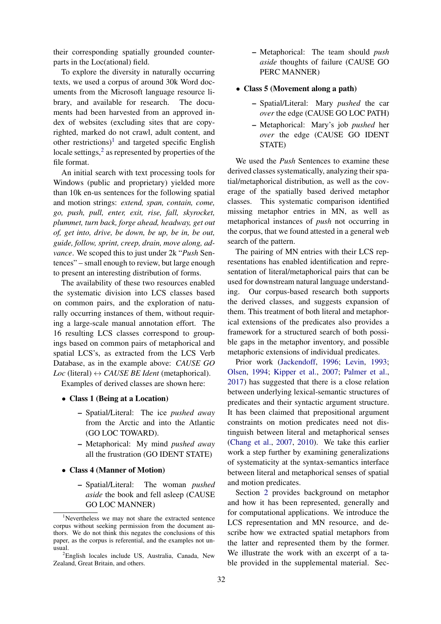their corresponding spatially grounded counterparts in the Loc(ational) field.

To explore the diversity in naturally occurring texts, we used a corpus of around 30k Word documents from the Microsoft language resource library, and available for research. The documents had been harvested from an approved index of websites (excluding sites that are copyrighted, marked do not crawl, adult content, and other restrictions)<sup>1</sup> and targeted specific English locale settings, $2$  as represented by properties of the file format.

An initial search with text processing tools for Windows (public and proprietary) yielded more than 10k en-us sentences for the following spatial and motion strings: *extend, span, contain, come, go, push, pull, enter, exit, rise, fall, skyrocket, plummet, turn back, forge ahead, headway, get out of, get into, drive, be down, be up, be in, be out, guide, follow, sprint, creep, drain, move along, advance*. We scoped this to just under 2k "*Push* Sentences" – small enough to review, but large enough to present an interesting distribution of forms.

The availability of these two resources enabled the systematic division into LCS classes based on common pairs, and the exploration of naturally occurring instances of them, without requiring a large-scale manual annotation effort. The 16 resulting LCS classes correspond to groupings based on common pairs of metaphorical and spatial LCS's, as extracted from the LCS Verb Database, as in the example above: *CAUSE GO Loc* (literal)  $\leftrightarrow$  *CAUSE BE Ident* (metaphorical).

Examples of derived classes are shown here:

- Class 1 (Being at a Location)
	- Spatial/Literal: The ice *pushed away* from the Arctic and into the Atlantic (GO LOC TOWARD).
	- Metaphorical: My mind *pushed away* all the frustration (GO IDENT STATE)
- Class 4 (Manner of Motion)
	- Spatial/Literal: The woman *pushed aside* the book and fell asleep (CAUSE GO LOC MANNER)

– Metaphorical: The team should *push aside* thoughts of failure (CAUSE GO PERC MANNER)

#### • Class 5 (Movement along a path)

- Spatial/Literal: Mary *pushed* the car *over* the edge (CAUSE GO LOC PATH)
- Metaphorical: Mary's job *pushed* her *over* the edge (CAUSE GO IDENT STATE)

We used the *Push* Sentences to examine these derived classes systematically, analyzing their spatial/metaphorical distribution, as well as the coverage of the spatially based derived metaphor classes. This systematic comparison identified missing metaphor entries in MN, as well as metaphorical instances of *push* not occurring in the corpus, that we found attested in a general web search of the pattern.

The pairing of MN entries with their LCS representations has enabled identification and representation of literal/metaphorical pairs that can be used for downstream natural language understanding. Our corpus-based research both supports the derived classes, and suggests expansion of them. This treatment of both literal and metaphorical extensions of the predicates also provides a framework for a structured search of both possible gaps in the metaphor inventory, and possible metaphoric extensions of individual predicates.

Prior work (Jackendoff, 1996; Levin, 1993; Olsen, 1994; Kipper et al., 2007; Palmer et al., 2017) has suggested that there is a close relation between underlying lexical-semantic structures of predicates and their syntactic argument structure. It has been claimed that prepositional argument constraints on motion predicates need not distinguish between literal and metaphorical senses (Chang et al., 2007, 2010). We take this earlier work a step further by examining generalizations of systematicity at the syntax-semantics interface between literal and metaphorical senses of spatial and motion predicates.

Section 2 provides background on metaphor and how it has been represented, generally and for computational applications. We introduce the LCS representation and MN resource, and describe how we extracted spatial metaphors from the latter and represented them by the former. We illustrate the work with an excerpt of a table provided in the supplemental material. Sec-

<sup>&</sup>lt;sup>1</sup>Nevertheless we may not share the extracted sentence corpus without seeking permission from the document authors. We do not think this negates the conclusions of this paper, as the corpus is referential, and the examples not unusual.

<sup>&</sup>lt;sup>2</sup>English locales include US, Australia, Canada, New Zealand, Great Britain, and others.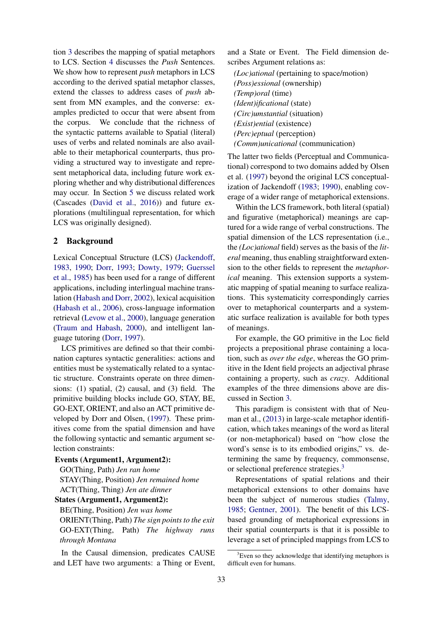tion 3 describes the mapping of spatial metaphors to LCS. Section 4 discusses the *Push* Sentences. We show how to represent *push* metaphors in LCS according to the derived spatial metaphor classes, extend the classes to address cases of *push* absent from MN examples, and the converse: examples predicted to occur that were absent from the corpus. We conclude that the richness of the syntactic patterns available to Spatial (literal) uses of verbs and related nominals are also available to their metaphorical counterparts, thus providing a structured way to investigate and represent metaphorical data, including future work exploring whether and why distributional differences may occur. In Section 5 we discuss related work (Cascades (David et al., 2016)) and future explorations (multilingual representation, for which LCS was originally designed).

### 2 Background

Lexical Conceptual Structure (LCS) (Jackendoff, 1983, 1990; Dorr, 1993; Dowty, 1979; Guerssel et al., 1985) has been used for a range of different applications, including interlingual machine translation (Habash and Dorr, 2002), lexical acquisition (Habash et al., 2006), cross-language information retrieval (Levow et al., 2000), language generation (Traum and Habash, 2000), and intelligent language tutoring (Dorr, 1997).

LCS primitives are defined so that their combination captures syntactic generalities: actions and entities must be systematically related to a syntactic structure. Constraints operate on three dimensions: (1) spatial, (2) causal, and (3) field. The primitive building blocks include GO, STAY, BE, GO-EXT, ORIENT, and also an ACT primitive developed by Dorr and Olsen, (1997). These primitives come from the spatial dimension and have the following syntactic and semantic argument selection constraints:

#### Events (Argument1, Argument2):

GO(Thing, Path) *Jen ran home* STAY(Thing, Position) *Jen remained home* ACT(Thing, Thing) *Jen ate dinner*

#### States (Argument1, Argument2):

BE(Thing, Position) *Jen was home* ORIENT(Thing, Path) *The sign points to the exit* GO-EXT(Thing, Path) *The highway runs through Montana*

In the Causal dimension, predicates CAUSE and LET have two arguments: a Thing or Event,

and a State or Event. The Field dimension describes Argument relations as:

*(Loc)ational* (pertaining to space/motion) *(Poss)essional* (ownership) *(Temp)oral* (time) *(Ident)ificational* (state) *(Circ)umstantial* (situation) *(Exist)ential* (existence) *(Perc)eptual* (perception) *(Comm)unicational* (communication)

The latter two fields (Perceptual and Communicational) correspond to two domains added by Olsen et al. (1997) beyond the original LCS conceptualization of Jackendoff (1983; 1990), enabling coverage of a wider range of metaphorical extensions.

Within the LCS framework, both literal (spatial) and figurative (metaphorical) meanings are captured for a wide range of verbal constructions. The spatial dimension of the LCS representation (i.e., the *(Loc)ational* field) serves as the basis of the *literal* meaning, thus enabling straightforward extension to the other fields to represent the *metaphorical* meaning. This extension supports a systematic mapping of spatial meaning to surface realizations. This systematicity correspondingly carries over to metaphorical counterparts and a systematic surface realization is available for both types of meanings.

For example, the GO primitive in the Loc field projects a prepositional phrase containing a location, such as *over the edge*, whereas the GO primitive in the Ident field projects an adjectival phrase containing a property, such as *crazy*. Additional examples of the three dimensions above are discussed in Section 3.

This paradigm is consistent with that of Neuman et al., (2013) in large-scale metaphor identification, which takes meanings of the word as literal (or non-metaphorical) based on "how close the word's sense is to its embodied origins," vs. determining the same by frequency, commonsense, or selectional preference strategies.<sup>3</sup>

Representations of spatial relations and their metaphorical extensions to other domains have been the subject of numerous studies (Talmy, 1985; Gentner, 2001). The benefit of this LCSbased grounding of metaphorical expressions in their spatial counterparts is that it is possible to leverage a set of principled mappings from LCS to

 $3E$ ven so they acknowledge that identifying metaphors is difficult even for humans.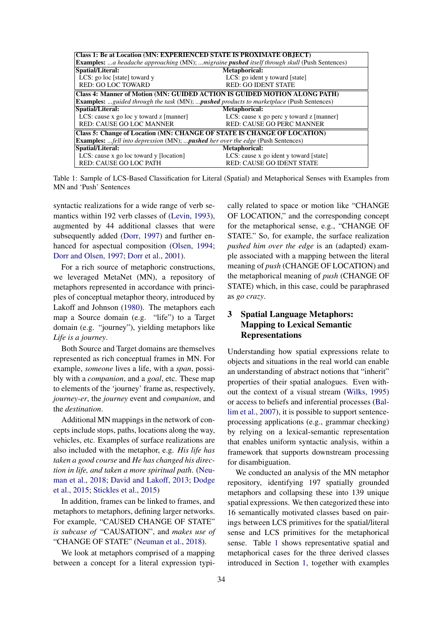| <b>Class 1: Be at Location (MN: EXPERIENCED STATE IS PROXIMATE OBJECT)</b>                                 |                                          |  |
|------------------------------------------------------------------------------------------------------------|------------------------------------------|--|
| <b>Examples:</b> a headache approaching (MN); migraine <b>pushed</b> itself through skull (Push Sentences) |                                          |  |
| Spatial/Literal:                                                                                           | <b>Metaphorical:</b>                     |  |
| LCS: go loc [state] toward y                                                                               | LCS: go ident y toward [state]           |  |
| <b>RED: GO LOC TOWARD</b>                                                                                  | <b>RED: GO IDENT STATE</b>               |  |
| <b>Class 4: Manner of Motion (MN: GUIDED ACTION IS GUIDED MOTION ALONG PATH)</b>                           |                                          |  |
| <b>Examples:</b> guided through the task (MN); pushed products to marketplace (Push Sentences)             |                                          |  |
| Spatial/Literal:                                                                                           | Metaphorical:                            |  |
| LCS: cause x go loc y toward z [manner]                                                                    | LCS: cause x go perc y toward z [manner] |  |
| RED: CAUSE GO LOC MANNER                                                                                   | <b>RED: CAUSE GO PERC MANNER</b>         |  |
| <b>Class 5: Change of Location (MN: CHANGE OF STATE IS CHANGE OF LOCATION)</b>                             |                                          |  |
| <b>Examples:</b> fell into depression (MN); pushed her over the edge (Push Sentences)                      |                                          |  |
| Spatial/Literal:                                                                                           | Metaphorical:                            |  |
| LCS: cause x go loc toward y [location]                                                                    | LCS: cause x go ident y toward [state]   |  |
| <b>RED: CAUSE GO LOC PATH</b>                                                                              | <b>RED: CAUSE GO IDENT STATE</b>         |  |

Table 1: Sample of LCS-Based Classification for Literal (Spatial) and Metaphorical Senses with Examples from MN and 'Push' Sentences

syntactic realizations for a wide range of verb semantics within 192 verb classes of (Levin, 1993), augmented by 44 additional classes that were subsequently added (Dorr, 1997) and further enhanced for aspectual composition (Olsen, 1994; Dorr and Olsen, 1997; Dorr et al., 2001).

For a rich source of metaphoric constructions, we leveraged MetaNet (MN), a repository of metaphors represented in accordance with principles of conceptual metaphor theory, introduced by Lakoff and Johnson (1980). The metaphors each map a Source domain (e.g. "life") to a Target domain (e.g. "journey"), yielding metaphors like *Life is a journey*.

Both Source and Target domains are themselves represented as rich conceptual frames in MN. For example, *someone* lives a life, with a *span*, possibly with a *companion*, and a *goal*, etc. These map to elements of the 'journey' frame as, respectively, *journey-er*, the *journey* event and *companion*, and the *destination*.

Additional MN mappings in the network of concepts include stops, paths, locations along the way, vehicles, etc. Examples of surface realizations are also included with the metaphor, e.g. *His life has taken a good course* and *He has changed his direction in life, and taken a more spiritual path*. (Neuman et al., 2018; David and Lakoff, 2013; Dodge et al., 2015; Stickles et al., 2015)

In addition, frames can be linked to frames, and metaphors to metaphors, defining larger networks. For example, "CAUSED CHANGE OF STATE" *is subcase of* "CAUSATION", and *makes use of* "CHANGE OF STATE" (Neuman et al., 2018).

We look at metaphors comprised of a mapping between a concept for a literal expression typi-

cally related to space or motion like "CHANGE OF LOCATION," and the corresponding concept for the metaphorical sense, e.g., "CHANGE OF STATE." So, for example, the surface realization *pushed him over the edge* is an (adapted) example associated with a mapping between the literal meaning of *push* (CHANGE OF LOCATION) and the metaphorical meaning of *push* (CHANGE OF STATE) which, in this case, could be paraphrased as *go crazy*.

# 3 Spatial Language Metaphors: Mapping to Lexical Semantic Representations

Understanding how spatial expressions relate to objects and situations in the real world can enable an understanding of abstract notions that "inherit" properties of their spatial analogues. Even without the context of a visual stream (Wilks, 1995) or access to beliefs and inferential processes (Ballim et al., 2007), it is possible to support sentenceprocessing applications (e.g., grammar checking) by relying on a lexical-semantic representation that enables uniform syntactic analysis, within a framework that supports downstream processing for disambiguation.

We conducted an analysis of the MN metaphor repository, identifying 197 spatially grounded metaphors and collapsing these into 139 unique spatial expressions. We then categorized these into 16 semantically motivated classes based on pairings between LCS primitives for the spatial/literal sense and LCS primitives for the metaphorical sense. Table 1 shows representative spatial and metaphorical cases for the three derived classes introduced in Section 1, together with examples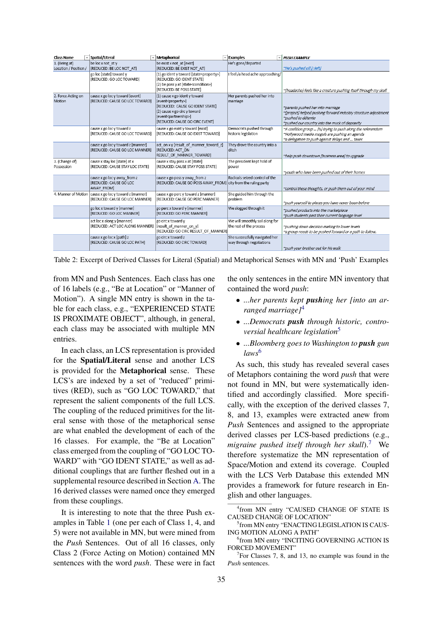| <b>Class Name</b>                      | Spatial/Literal                                                                            | - Metaphorical                                                                                                                                                                                                       | <b>Examples</b>                                            | <b>PUSH EXAMPLE</b>                                                                                                                                                          |
|----------------------------------------|--------------------------------------------------------------------------------------------|----------------------------------------------------------------------------------------------------------------------------------------------------------------------------------------------------------------------|------------------------------------------------------------|------------------------------------------------------------------------------------------------------------------------------------------------------------------------------|
| 1. (Being at)<br>Location / Position / | be loc x not at y<br>[REDUCED: BE LOC NOT AT]                                              | be exist x not at [exist]<br>[REDUCED: BE EXIST NOT AT]                                                                                                                                                              | He's gone/departed                                         | "He's pushed off [=left]                                                                                                                                                     |
|                                        | go loc [state] toward y<br>[REDUCED: GO LOC TOWARD]                                        | (1) go ident y toward [state <property>]<br/>[REDUCED: GO IDENT STATE]<br/>(2) be poss y at [state<condition>]<br/><b>[REDUCED: BE POSS STATE]</b></condition></property>                                            | I feel /a head ache approaching/                           | "[headache] feels like a creature pushing itself through my skull                                                                                                            |
| 2. Force Acting on<br>Motion           | cause x go loc y toward [event]<br><b>IREDUCED: CAUSE GO LOC TOWARDI</b>                   | (1) cause x go ident y toward<br>[event <property>]<br/>[REDUCED: CAUSE GO IDENT STATE]<br/>(2) cause x go circ y toward<br/>[event<partnership>]<br/><b>IREDUCED: CAUSE GO CIRC EVENTI</b></partnership></property> | Her parents pushed her into<br>marriage                    | ~parents pushed her into marriage<br>~[project] helped pushing forward industry structure adjustment<br>~pushed to détente<br>~pushed our country into the muck of depravity |
|                                        | cause x go loc y toward z<br>[REDUCED: CAUSE GO LOC TOWARD]                                | cause x go exist y toward [exist]<br>[REDUCED: CAUSE GO EXIST TOWARD]                                                                                                                                                | Democrats pushed through<br>historic legislation           | "A coalition group  [is] trying to push along the referendum<br>"Hollywood media moguls are pushing an agenda<br>"a delegation to push against delays and  taxes             |
|                                        | cause x go loc y toward z [manner]<br>[REDUCED: CAUSE GO LOC MANNER]                       | act on x y [result of manner toward z]<br>[REDUCED: ACT ON<br>RESULT_OF_MANNER_TOWARD]                                                                                                                               | They drove the country into a<br>ditch                     | ~help push downtown [business area] to upgrade                                                                                                                               |
| 3. (Change of)<br>Possession           | cause x stay loc [state] at x<br><b>IREDUCED: CAUSE STAY LOC STATE]</b>                    | cause x stay poss x at [state]<br><b>IREDUCED: CAUSE STAY POSS STATE]</b>                                                                                                                                            | The president kept hold of<br>power                        | ~youth who have been pushed out of their homes                                                                                                                               |
|                                        | cause x go loc y away from z<br><b>IREDUCED: CAUSE GO LOC</b><br>AWAY FROM]                | cause x go poss y away from z<br>[REDUCED: CAUSE GO POSS AWAY_FROM] city from the ruling party                                                                                                                       | Radicals seized control of the                             | ~control these thoughts, or push them out of your mind                                                                                                                       |
|                                        | 4. Manner of Motion   cause x go loc y toward z [manner]<br>[REDUCED: CAUSE GO LOC MANNER] | cause x go perc y toward z [manner]<br>[REDUCED: CAUSE GO PERC MANNER]                                                                                                                                               | She guided him through the<br><b>problem</b>               | "push yourself to places you have never been before                                                                                                                          |
|                                        | go loc x toward y [manner]<br>[REDUCED: GO LOC MANNER]                                     | go perc x toward y [manner]<br>[REDUCED: GO PERC MANNER]                                                                                                                                                             | We slogged through it                                      | ~pushed products into the marketplace<br>~push students past their current language level                                                                                    |
|                                        | act loc x along y [manner]<br>[REDUCED: ACT LOC ALONG MANNER]                              | go circ x toward y<br>[result of manner on y]<br>[REDUCED: GO CIRC RESULT_OF_MANNER]                                                                                                                                 | We will smoothly sail along for<br>the rest of the process | "pushing down decision making to lower levels<br>"a group needs to be pushed forward or a path to follow.                                                                    |
|                                        | cause x go loc x [path] z<br>[REDUCED: CAUSE GO LOC PATH]                                  | go circ x toward z<br>[REDUCED: GO CIRC TOWARD]                                                                                                                                                                      | She successfully navigated her<br>way through negotiations | ~push your brother out for his walk                                                                                                                                          |

Table 2: Excerpt of Derived Classes for Literal (Spatial) and Metaphorical Senses with MN and 'Push' Examples

from MN and Push Sentences. Each class has one of 16 labels (e.g., "Be at Location" or "Manner of Motion"). A single MN entry is shown in the table for each class, e.g., "EXPERIENCED STATE IS PROXIMATE OBJECT", although, in general, each class may be associated with multiple MN entries.

In each class, an LCS representation is provided for the Spatial/Literal sense and another LCS is provided for the Metaphorical sense. These LCS's are indexed by a set of "reduced" primitives (RED), such as "GO LOC TOWARD," that represent the salient components of the full LCS. The coupling of the reduced primitives for the literal sense with those of the metaphorical sense are what enabled the development of each of the 16 classes. For example, the "Be at Location" class emerged from the coupling of "GO LOC TO-WARD" with "GO IDENT STATE," as well as additional couplings that are further fleshed out in a supplemental resource described in Section A. The 16 derived classes were named once they emerged from these couplings.

It is interesting to note that the three Push examples in Table 1 (one per each of Class 1, 4, and 5) were not available in MN, but were mined from the *Push* Sentences. Out of all 16 classes, only Class 2 (Force Acting on Motion) contained MN sentences with the word *push*. These were in fact the only sentences in the entire MN inventory that contained the word *push*:

- *...her parents kept pushing her [into an arranged marriage]*<sup>4</sup>
- *...Democrats push through historic, controversial healthcare legislation*<sup>5</sup>
- *...Bloomberg goes to Washington to push gun laws*<sup>6</sup>

As such, this study has revealed several cases of Metaphors containing the word *push* that were not found in MN, but were systematically identified and accordingly classified. More specifically, with the exception of the derived classes 7, 8, and 13, examples were extracted anew from *Push* Sentences and assigned to the appropriate derived classes per LCS-based predictions (e.g., *migraine pushed itself through her skull*).<sup>7</sup> We therefore systematize the MN representation of Space/Motion and extend its coverage. Coupled with the LCS Verb Database this extended MN provides a framework for future research in English and other languages.

<sup>4</sup> from MN entry "CAUSED CHANGE OF STATE IS CAUSED CHANGE OF LOCATION"

<sup>5</sup> from MN entry "ENACTING LEGISLATION IS CAUS-ING MOTION ALONG A PATH"

<sup>6</sup> from MN entry "INCITING GOVERNING ACTION IS FORCED MOVEMENT"

<sup>&</sup>lt;sup>7</sup>For Classes 7, 8, and 13, no example was found in the *Push* sentences.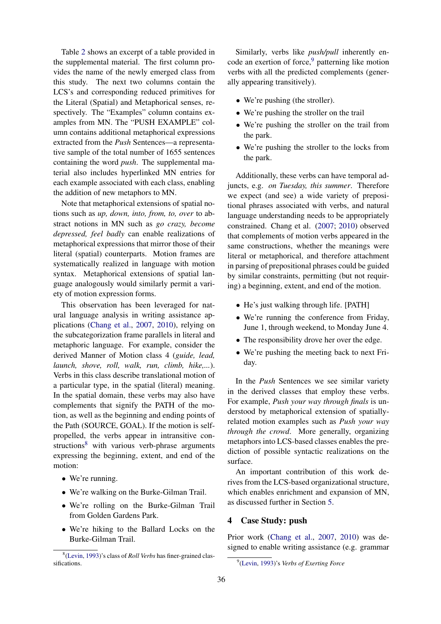Table 2 shows an excerpt of a table provided in the supplemental material. The first column provides the name of the newly emerged class from this study. The next two columns contain the LCS's and corresponding reduced primitives for the Literal (Spatial) and Metaphorical senses, respectively. The "Examples" column contains examples from MN. The "PUSH EXAMPLE" column contains additional metaphorical expressions extracted from the *Push* Sentences—a representative sample of the total number of 1655 sentences containing the word *push*. The supplemental material also includes hyperlinked MN entries for each example associated with each class, enabling the addition of new metaphors to MN.

Note that metaphorical extensions of spatial notions such as *up, down, into, from, to, over* to abstract notions in MN such as *go crazy, become depressed, feel badly* can enable realizations of metaphorical expressions that mirror those of their literal (spatial) counterparts. Motion frames are systematically realized in language with motion syntax. Metaphorical extensions of spatial language analogously would similarly permit a variety of motion expression forms.

This observation has been leveraged for natural language analysis in writing assistance applications (Chang et al., 2007, 2010), relying on the subcategorization frame parallels in literal and metaphoric language. For example, consider the derived Manner of Motion class 4 (*guide, lead, launch, shove, roll, walk, run, climb, hike,...*). Verbs in this class describe translational motion of a particular type, in the spatial (literal) meaning. In the spatial domain, these verbs may also have complements that signify the PATH of the motion, as well as the beginning and ending points of the Path (SOURCE, GOAL). If the motion is selfpropelled, the verbs appear in intransitive constructions<sup>8</sup> with various verb-phrase arguments expressing the beginning, extent, and end of the motion:

- We're running.
- We're walking on the Burke-Gilman Trail.
- We're rolling on the Burke-Gilman Trail from Golden Gardens Park.
- We're hiking to the Ballard Locks on the Burke-Gilman Trail.

Similarly, verbs like *push/pull* inherently encode an exertion of force,<sup>9</sup> patterning like motion verbs with all the predicted complements (generally appearing transitively).

- We're pushing (the stroller).
- We're pushing the stroller on the trail
- We're pushing the stroller on the trail from the park.
- We're pushing the stroller to the locks from the park.

Additionally, these verbs can have temporal adjuncts, e.g. *on Tuesday, this summer*. Therefore we expect (and see) a wide variety of prepositional phrases associated with verbs, and natural language understanding needs to be appropriately constrained. Chang et al. (2007; 2010) observed that complements of motion verbs appeared in the same constructions, whether the meanings were literal or metaphorical, and therefore attachment in parsing of prepositional phrases could be guided by similar constraints, permitting (but not requiring) a beginning, extent, and end of the motion.

- He's just walking through life. [PATH]
- We're running the conference from Friday, June 1, through weekend, to Monday June 4.
- The responsibility drove her over the edge.
- We're pushing the meeting back to next Friday.

In the *Push* Sentences we see similar variety in the derived classes that employ these verbs. For example, *Push your way through finals* is understood by metaphorical extension of spatiallyrelated motion examples such as *Push your way through the crowd*. More generally, organizing metaphors into LCS-based classes enables the prediction of possible syntactic realizations on the surface.

An important contribution of this work derives from the LCS-based organizational structure, which enables enrichment and expansion of MN, as discussed further in Section 5.

#### 4 Case Study: push

Prior work (Chang et al., 2007, 2010) was designed to enable writing assistance (e.g. grammar

<sup>8</sup> (Levin, 1993)'s class of *Roll Verbs* has finer-grained classifications.

<sup>9</sup> (Levin, 1993)'s *Verbs of Exerting Force*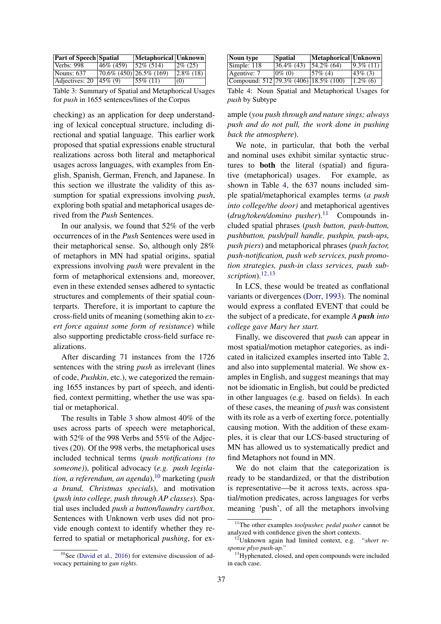| <b>Part of Speech Spatial</b> |                                   | Metaphorical Unknown |                |
|-------------------------------|-----------------------------------|----------------------|----------------|
| Verbs: $998$                  | 46\% (459)                        | $52\% (514)$         | $ 2\% (25) $   |
| Nouns: $637$                  | $\sqrt{70.6\% (450)}$ 26.5% (169) |                      | $ 2.8\% (18) $ |
| Adjectives: 20 $ 45\% (9) $   |                                   | $155\%$ (11)         | (0)            |

Table 3: Summary of Spatial and Metaphorical Usages for *push* in 1655 sentences/lines of the Corpus

checking) as an application for deep understanding of lexical conceptual structure, including directional and spatial language. This earlier work proposed that spatial expressions enable structural realizations across both literal and metaphorical usages across languages, with examples from English, Spanish, German, French, and Japanese. In this section we illustrate the validity of this assumption for spatial expressions involving *push*, exploring both spatial and metaphorical usages derived from the *Push* Sentences.

In our analysis, we found that 52% of the verb occurrences of in the *Push* Sentences were used in their metaphorical sense. So, although only 28% of metaphors in MN had spatial origins, spatial expressions involving *push* were prevalent in the form of metaphorical extensions and, moreover, even in these extended senses adhered to syntactic structures and complements of their spatial counterparts. Therefore, it is important to capture the cross-field units of meaning (something akin to *exert force against some form of resistance*) while also supporting predictable cross-field surface realizations.

After discarding 71 instances from the 1726 sentences with the string *push* as irrelevant (lines of code, *Pushkin*, etc.), we categorized the remaining 1655 instances by part of speech, and identified, context permitting, whether the use was spatial or metaphorical.

The results in Table 3 show almost 40% of the uses across parts of speech were metaphorical, with 52% of the 998 Verbs and 55% of the Adjectives (20). Of the 998 verbs, the metaphorical uses included technical terms (*push notifications (to someone)*), political advocacy (*e.g. push legislation, a referendum, an agenda*),<sup>10</sup> marketing (*push a brand, Christmas specials*), and motivation (*push into college, push through AP classes*). Spatial uses included *push a button/laundry cart/box*. Sentences with Unknown verb uses did not provide enough context to identify whether they referred to spatial or metaphorical *pushing*, for ex-

| Noun type                                 | <b>Spatial</b> | Metaphorical Unknown |                |
|-------------------------------------------|----------------|----------------------|----------------|
| Simple: 118                               | $36.4\%$ (43)  | $ 54.2\% (64)$       | $ 9.3\% (11) $ |
| Agentive: 7                               | $0\%$ (0)      | $157\%$ (4)          | $43\%$ (3)     |
| Compound: $512 79.3\% (406) 18.5\% (100)$ |                |                      | $1.2\%$ (6)    |

Table 4: Noun Spatial and Metaphorical Usages for *push* by Subtype

ample (*you push through and nature sings; always push and do not pull, the work done in pushing back the atmosphere*).

We note, in particular, that both the verbal and nominal uses exhibit similar syntactic structures to both the literal (spatial) and figurative (metaphorical) usages. For example, as shown in Table 4, the 637 nouns included simple spatial/metaphorical examples terms (*a push into college/the door)* and metaphorical agentives (*drug/token/domino pusher*).<sup>11</sup> Compounds included spatial phrases (*push button, push-button, pushbutton, push/pull handle, pushpin, push-ups, push piers*) and metaphorical phrases (*push factor, push-notification, push web services, push promotion strategies, push-in class services, push sub* $scription$ <sup>12,13</sup>

In LCS, these would be treated as conflational variants or divergences (Dorr, 1993). The nominal would express a conflated EVENT that could be the subject of a predicate, for example *A push into college gave Mary her start.*

Finally, we discovered that *push* can appear in most spatial/motion metaphor categories, as indicated in italicized examples inserted into Table 2, and also into supplemental material. We show examples in English, and suggest meanings that may not be idiomatic in English, but could be predicted in other languages (e.g. based on fields). In each of these cases, the meaning of *push* was consistent with its role as a verb of exerting force, potentially causing motion. With the addition of these examples, it is clear that our LCS-based structuring of MN has allowed us to systematically predict and find Metaphors not found in MN.

We do not claim that the categorization is ready to be standardized, or that the distribution is representative—be it across texts, across spatial/motion predicates, across languages for verbs meaning 'push', of all the metaphors involving

 $10$ See (David et al., 2016) for extensive discussion of advocacy pertaining to *gun rights*.

<sup>11</sup>The other examples *toolpusher, pedal pusher* cannot be analyzed with confidence given the short contexts.

<sup>12</sup>Unknown again had limited context, e.g. *"short response plyo push-up."*

<sup>&</sup>lt;sup>13</sup>Hyphenated, closed, and open compounds were included in each case.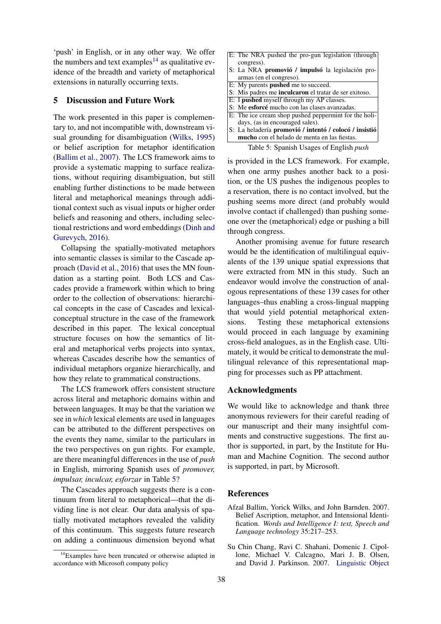'push' in English, or in any other way. We offer the numbers and text examples<sup>14</sup> as qualitative evidence of the breadth and variety of metaphorical extensions in naturally occurring texts.

#### 5 Discussion and Future Work

The work presented in this paper is complementary to, and not incompatible with, downstream visual grounding for disambiguation (Wilks, 1995) or belief ascription for metaphor identification (Ballim et al., 2007). The LCS framework aims to provide a systematic mapping to surface realizations, without requiring disambiguation, but still enabling further distinctions to be made between literal and metaphorical meanings through additional context such as visual inputs or higher order beliefs and reasoning and others, including selectional restrictions and word embeddings (Dinh and Gurevych, 2016).

Collapsing the spatially-motivated metaphors into semantic classes is similar to the Cascade approach (David et al., 2016) that uses the MN foundation as a starting point. Both LCS and Cascades provide a framework within which to bring order to the collection of observations: hierarchical concepts in the case of Cascades and lexicalconceptual structure in the case of the framework described in this paper. The lexical conceptual structure focuses on how the semantics of literal and metaphorical verbs projects into syntax, whereas Cascades describe how the semantics of individual metaphors organize hierarchically, and how they relate to grammatical constructions.

The LCS framework offers consistent structure across literal and metaphoric domains within and between languages. It may be that the variation we see in *which* lexical elements are used in languages can be attributed to the different perspectives on the events they name, similar to the particulars in the two perspectives on gun rights. For example, are there meaningful differences in the use of *push* in English, mirroring Spanish uses of *promover, impulsar, inculcar, esforzar* in Table 5?

The Cascades approach suggests there is a continuum from literal to metaphorical—that the dividing line is not clear. Our data analysis of spatially motivated metaphors revealed the validity of this continuum. This suggests future research on adding a continuous dimension beyond what

| E: The NRA pushed the pro-gun legislation (through |
|----------------------------------------------------|
| congress).                                         |
| S: La NRA promovió / impulsó la legislación pro-   |

- armas (en el congreso).
- E: My parents pushed me to succeed. S: Mis padres me inculcaron el tratar de ser exitoso.
- E: I pushed myself through my AP classes.
- S: Me esforcé mucho con las clases avanzadas.
- E: The ice cream shop pushed peppermint for the holi-
- days. (as in encouraged sales). S: La heladería promovió / intentó / colocó / insistió mucho con el helado de menta en las fiestas.

Table 5: Spanish Usages of English *push*

is provided in the LCS framework. For example, when one army pushes another back to a position, or the US pushes the indigenous peoples to a reservation, there is no contact involved, but the pushing seems more direct (and probably would involve contact if challenged) than pushing someone over the (metaphorical) edge or pushing a bill through congress.

Another promising avenue for future research would be the identification of multilingual equivalents of the 139 unique spatial expressions that were extracted from MN in this study. Such an endeavor would involve the construction of analogous representations of these 139 cases for other languages–thus enabling a cross-lingual mapping that would yield potential metaphorical extensions. Testing these metaphorical extensions would proceed in each language by examining cross-field analogues, as in the English case. Ultimately, it would be critical to demonstrate the multilingual relevance of this representational mapping for processes such as PP attachment.

### Acknowledgments

We would like to acknowledge and thank three anonymous reviewers for their careful reading of our manuscript and their many insightful comments and constructive suggestions. The first author is supported, in part, by the Institute for Human and Machine Cognition. The second author is supported, in part, by Microsoft.

### **References**

- Afzal Ballim, Yorick Wilks, and John Barnden. 2007. Belief Ascription, metaphor, and Intensional Identification. *Words and Intelligence I: text, Speech and Language technology* 35:217–253.
- Su Chin Chang, Ravi C. Shahani, Domenic J. Cipollone, Michael V. Calcagno, Mari J. B. Olsen, and David J. Parkinson. 2007. Linguistic Object

<sup>&</sup>lt;sup>14</sup>Examples have been truncated or otherwise adapted in accordance with Microsoft company policy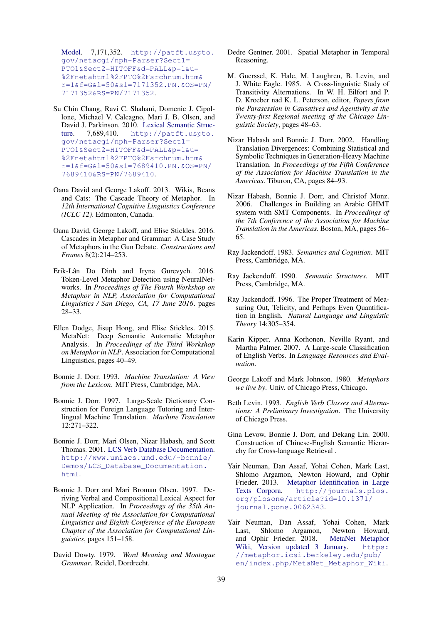Model. 7,171,352. http://patft.uspto. gov/netacgi/nph-Parser?Sect1= PTO1&Sect2=HITOFF&d=PALL&p=1&u= %2Fnetahtml%2FPTO%2Fsrchnum.htm& r=1&f=G&l=50&s1=7171352.PN.&OS=PN/ 7171352&RS=PN/7171352.

- Su Chin Chang, Ravi C. Shahani, Domenic J. Cipollone, Michael V. Calcagno, Mari J. B. Olsen, and David J. Parkinson. 2010. Lexical Semantic Struc-<br>ture. 7.689.410. http://patft.uspto. http://patft.uspto. gov/netacgi/nph-Parser?Sect1= PTO1&Sect2=HITOFF&d=PALL&p=1&u= %2Fnetahtml%2FPTO%2Fsrchnum.htm& r=1&f=G&l=50&s1=7689410.PN.&OS=PN/ 7689410&RS=PN/7689410.
- Oana David and George Lakoff. 2013. Wikis, Beans and Cats: The Cascade Theory of Metaphor. In *12th International Cognitive Linguistics Conference (ICLC 12)*. Edmonton, Canada.
- Oana David, George Lakoff, and Elise Stickles. 2016. Cascades in Metaphor and Grammar: A Case Study of Metaphors in the Gun Debate. *Constructions and Frames* 8(2):214–253.
- Erik-Lân Do Dinh and Iryna Gurevych. 2016. Token-Level Metaphor Detection using NeuralNetworks. In *Proceedings of The Fourth Workshop on Metaphor in NLP, Association for Computational Linguistics / San Diego, CA, 17 June 2016*. pages 28–33.
- Ellen Dodge, Jisup Hong, and Elise Stickles. 2015. MetaNet: Deep Semantic Automatic Metaphor Analysis. In *Proceedings of the Third Workshop on Metaphor in NLP*. Association for Computational Linguistics, pages 40–49.
- Bonnie J. Dorr. 1993. *Machine Translation: A View from the Lexicon*. MIT Press, Cambridge, MA.
- Bonnie J. Dorr. 1997. Large-Scale Dictionary Construction for Foreign Language Tutoring and Interlingual Machine Translation. *Machine Translation* 12:271–322.
- Bonnie J. Dorr, Mari Olsen, Nizar Habash, and Scott Thomas. 2001. LCS Verb Database Documentation. http://www.umiacs.umd.edu/˜bonnie/ Demos/LCS\_Database\_Documentation. html.
- Bonnie J. Dorr and Mari Broman Olsen. 1997. Deriving Verbal and Compositional Lexical Aspect for NLP Application. In *Proceedings of the 35th Annual Meeting of the Association for Computational Linguistics and Eighth Conference of the European Chapter of the Association for Computational Linguistics*, pages 151–158.
- David Dowty. 1979. *Word Meaning and Montague Grammar*. Reidel, Dordrecht.
- Dedre Gentner. 2001. Spatial Metaphor in Temporal Reasoning.
- M. Guerssel, K. Hale, M. Laughren, B. Levin, and J. White Eagle. 1985. A Cross-linguistic Study of Transitivity Alternations. In W. H. Eilfort and P. D. Kroeber nad K. L. Peterson, editor, *Papers from the Parasession in Causatives and Agentivity at the Twenty-first Regional meeting of the Chicago Linguistic Society*, pages 48–63.
- Nizar Habash and Bonnie J. Dorr. 2002. Handling Translation Divergences: Combining Statistical and Symbolic Techniques in Generation-Heavy Machine Translation. In *Proceedings of the Fifth Conference of the Association for Machine Translation in the Americas*. Tiburon, CA, pages 84–93.
- Nizar Habash, Bonnie J. Dorr, and Christof Monz. 2006. Challenges in Building an Arabic GHMT system with SMT Components. In *Proceedings of the 7th Conference of the Association for Machine Translation in the Americas*. Boston, MA, pages 56– 65.
- Ray Jackendoff. 1983. *Semantics and Cognition*. MIT Press, Cambridge, MA.
- Ray Jackendoff. 1990. *Semantic Structures*. MIT Press, Cambridge, MA.
- Ray Jackendoff. 1996. The Proper Treatment of Measuring Out, Telicity, and Perhaps Even Quantification in English. *Natural Language and Linguistic Theory* 14:305–354.
- Karin Kipper, Anna Korhonen, Neville Ryant, and Martha Palmer. 2007. A Large-scale Classification of English Verbs. In *Language Resources and Evaluation*.
- George Lakoff and Mark Johnson. 1980. *Metaphors we live by*. Univ. of Chicago Press, Chicago.
- Beth Levin. 1993. *English Verb Classes and Alternations: A Preliminary Investigation*. The University of Chicago Press.
- Gina Levow, Bonnie J. Dorr, and Dekang Lin. 2000. Construction of Chinese-English Semantic Hierarchy for Cross-language Retrieval .
- Yair Neuman, Dan Assaf, Yohai Cohen, Mark Last, Shlomo Argamon, Newton Howard, and Ophir Frieder. 2013. Metaphor Identification in Large Texts Corpora. http://journals.plos. org/plosone/article?id=10.1371/ journal.pone.0062343.
- Yair Neuman, Dan Assaf, Yohai Cohen, Mark Last, Shlomo Argamon, Newton Howard, and Ophir Frieder. 2018. MetaNet Metaphor Wiki, Version updated 3 January. https: //metaphor.icsi.berkeley.edu/pub/ en/index.php/MetaNet\_Metaphor\_Wiki.